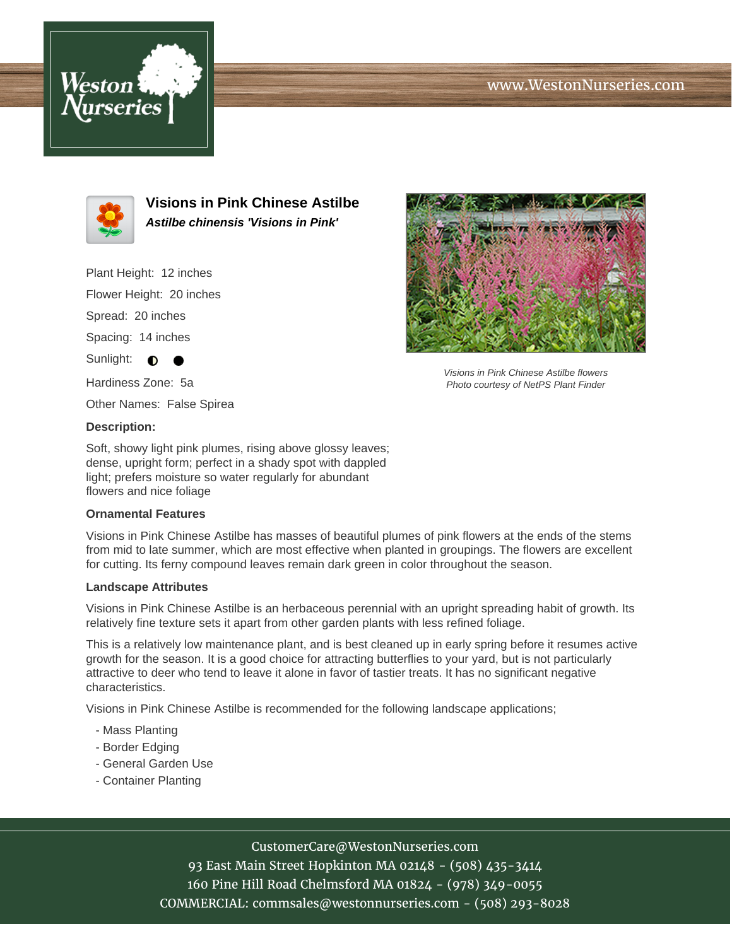# www.WestonNurseries.com





**Visions in Pink Chinese Astilbe Astilbe chinensis 'Visions in Pink'**

Plant Height: 12 inches

Flower Height: 20 inches

Spread: 20 inches

Spacing: 14 inches

Sunlight:  $\bigcirc$ 

Hardiness Zone: 5a

Other Names: False Spirea

### **Description:**

Soft, showy light pink plumes, rising above glossy leaves; dense, upright form; perfect in a shady spot with dappled light; prefers moisture so water regularly for abundant flowers and nice foliage

#### **Ornamental Features**

Visions in Pink Chinese Astilbe has masses of beautiful plumes of pink flowers at the ends of the stems from mid to late summer, which are most effective when planted in groupings. The flowers are excellent for cutting. Its ferny compound leaves remain dark green in color throughout the season.

#### **Landscape Attributes**

Visions in Pink Chinese Astilbe is an herbaceous perennial with an upright spreading habit of growth. Its relatively fine texture sets it apart from other garden plants with less refined foliage.

This is a relatively low maintenance plant, and is best cleaned up in early spring before it resumes active growth for the season. It is a good choice for attracting butterflies to your yard, but is not particularly attractive to deer who tend to leave it alone in favor of tastier treats. It has no significant negative characteristics.

Visions in Pink Chinese Astilbe is recommended for the following landscape applications;

- Mass Planting
- Border Edging
- General Garden Use
- Container Planting



93 East Main Street Hopkinton MA 02148 - (508) 435-3414 160 Pine Hill Road Chelmsford MA 01824 - (978) 349-0055 COMMERCIAL: commsales@westonnurseries.com - (508) 293-8028



Visions in Pink Chinese Astilbe flowers Photo courtesy of NetPS Plant Finder